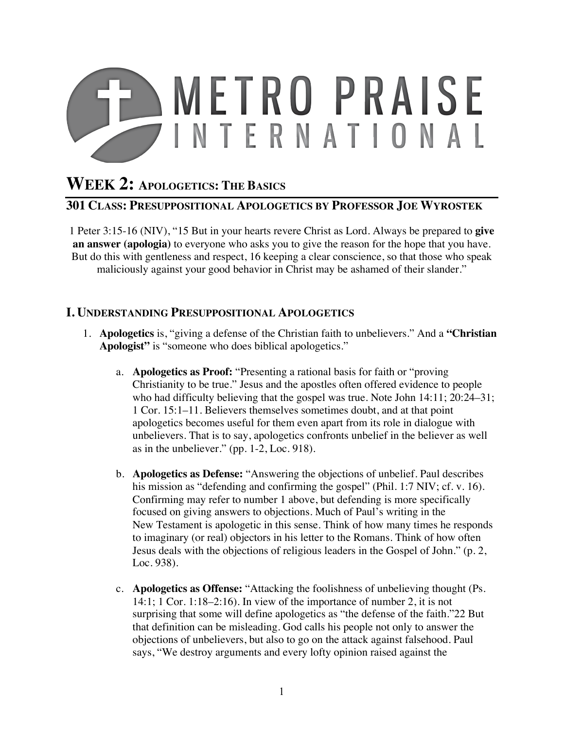

# **WEEK 2: APOLOGETICS: THE BASICS**

### **301 CLASS: PRESUPPOSITIONAL APOLOGETICS BY PROFESSOR JOE WYROSTEK**

1 Peter 3:15-16 (NIV), "15 But in your hearts revere Christ as Lord. Always be prepared to **give an answer (apologia)** to everyone who asks you to give the reason for the hope that you have. But do this with gentleness and respect, 16 keeping a clear conscience, so that those who speak maliciously against your good behavior in Christ may be ashamed of their slander."

#### **I. UNDERSTANDING PRESUPPOSITIONAL APOLOGETICS**

- 1. **Apologetics** is, "giving a defense of the Christian faith to unbelievers." And a **"Christian Apologist"** is "someone who does biblical apologetics."
	- a. **Apologetics as Proof:** "Presenting a rational basis for faith or "proving Christianity to be true." Jesus and the apostles often offered evidence to people who had difficulty believing that the gospel was true. Note John 14:11; 20:24–31; 1 Cor. 15:1–11. Believers themselves sometimes doubt, and at that point apologetics becomes useful for them even apart from its role in dialogue with unbelievers. That is to say, apologetics confronts unbelief in the believer as well as in the unbeliever." (pp. 1-2, Loc. 918).
	- b. **Apologetics as Defense:** "Answering the objections of unbelief. Paul describes his mission as "defending and confirming the gospel" (Phil. 1:7 NIV; cf. v. 16). Confirming may refer to number 1 above, but defending is more specifically focused on giving answers to objections. Much of Paul's writing in the New Testament is apologetic in this sense. Think of how many times he responds to imaginary (or real) objectors in his letter to the Romans. Think of how often Jesus deals with the objections of religious leaders in the Gospel of John." (p. 2, Loc. 938).
	- c. **Apologetics as Offense:** "Attacking the foolishness of unbelieving thought (Ps. 14:1; 1 Cor. 1:18–2:16). In view of the importance of number 2, it is not surprising that some will define apologetics as "the defense of the faith."22 But that definition can be misleading. God calls his people not only to answer the objections of unbelievers, but also to go on the attack against falsehood. Paul says, "We destroy arguments and every lofty opinion raised against the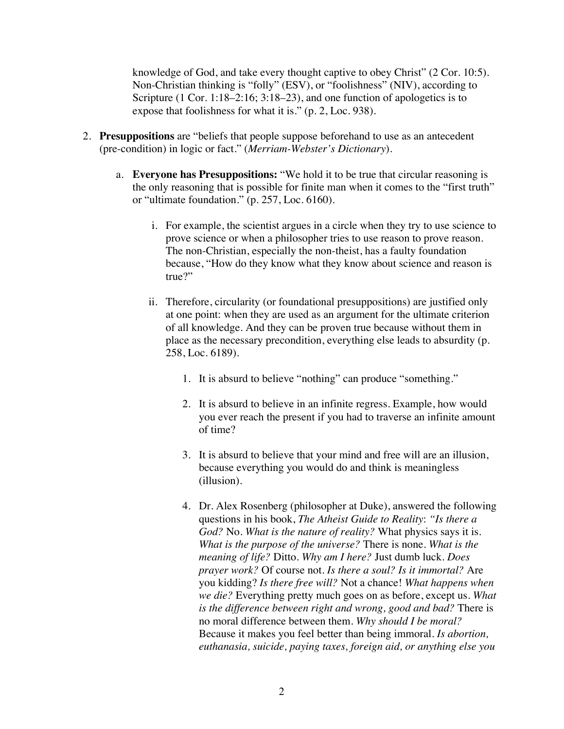knowledge of God, and take every thought captive to obey Christ" (2 Cor. 10:5). Non-Christian thinking is "folly" (ESV), or "foolishness" (NIV), according to Scripture (1 Cor. 1:18–2:16; 3:18–23), and one function of apologetics is to expose that foolishness for what it is." (p. 2, Loc. 938).

- 2. **Presuppositions** are "beliefs that people suppose beforehand to use as an antecedent (pre-condition) in logic or fact." (*Merriam-Webster's Dictionary*).
	- a. **Everyone has Presuppositions:** "We hold it to be true that circular reasoning is the only reasoning that is possible for finite man when it comes to the "first truth" or "ultimate foundation." (p. 257, Loc. 6160).
		- i. For example, the scientist argues in a circle when they try to use science to prove science or when a philosopher tries to use reason to prove reason. The non-Christian, especially the non-theist, has a faulty foundation because, "How do they know what they know about science and reason is true?"
		- ii. Therefore, circularity (or foundational presuppositions) are justified only at one point: when they are used as an argument for the ultimate criterion of all knowledge. And they can be proven true because without them in place as the necessary precondition, everything else leads to absurdity (p. 258, Loc. 6189).
			- 1. It is absurd to believe "nothing" can produce "something."
			- 2. It is absurd to believe in an infinite regress. Example, how would you ever reach the present if you had to traverse an infinite amount of time?
			- 3. It is absurd to believe that your mind and free will are an illusion, because everything you would do and think is meaningless (illusion).
			- 4. Dr. Alex Rosenberg (philosopher at Duke), answered the following questions in his book, *The Atheist Guide to Reality*: *"Is there a God?* No. *What is the nature of reality?* What physics says it is. *What is the purpose of the universe?* There is none. *What is the meaning of life?* Ditto. *Why am I here?* Just dumb luck. *Does prayer work?* Of course not. *Is there a soul? Is it immortal?* Are you kidding? *Is there free will?* Not a chance! *What happens when we die?* Everything pretty much goes on as before, except us. *What is the difference between right and wrong, good and bad?* There is no moral difference between them. *Why should I be moral?* Because it makes you feel better than being immoral. *Is abortion, euthanasia, suicide, paying taxes, foreign aid, or anything else you*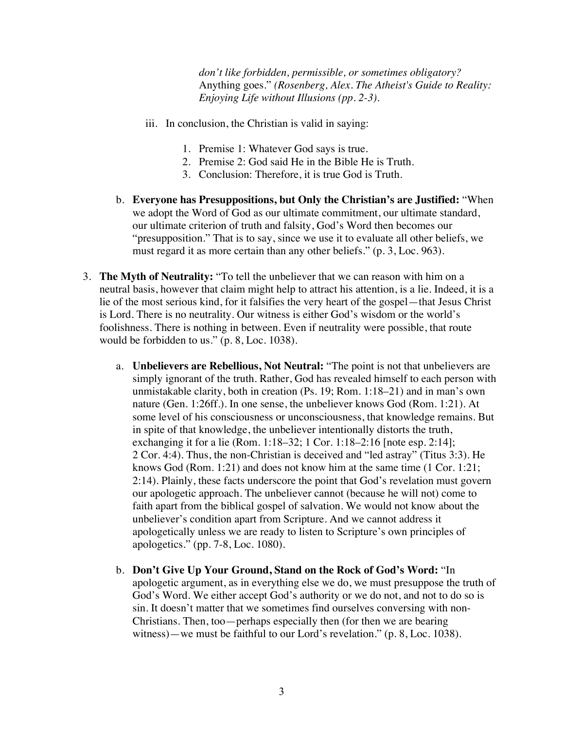*don't like forbidden, permissible, or sometimes obligatory?* Anything goes." *(Rosenberg, Alex. The Atheist's Guide to Reality: Enjoying Life without Illusions (pp. 2-3).* 

- iii. In conclusion, the Christian is valid in saying:
	- 1. Premise 1: Whatever God says is true.
	- 2. Premise 2: God said He in the Bible He is Truth.
	- 3. Conclusion: Therefore, it is true God is Truth.
- b. **Everyone has Presuppositions, but Only the Christian's are Justified:** "When we adopt the Word of God as our ultimate commitment, our ultimate standard, our ultimate criterion of truth and falsity, God's Word then becomes our "presupposition." That is to say, since we use it to evaluate all other beliefs, we must regard it as more certain than any other beliefs." (p. 3, Loc. 963).
- 3. **The Myth of Neutrality:** "To tell the unbeliever that we can reason with him on a neutral basis, however that claim might help to attract his attention, is a lie. Indeed, it is a lie of the most serious kind, for it falsifies the very heart of the gospel—that Jesus Christ is Lord. There is no neutrality. Our witness is either God's wisdom or the world's foolishness. There is nothing in between. Even if neutrality were possible, that route would be forbidden to us." (p. 8, Loc. 1038).
	- a. **Unbelievers are Rebellious, Not Neutral:** "The point is not that unbelievers are simply ignorant of the truth. Rather, God has revealed himself to each person with unmistakable clarity, both in creation (Ps. 19; Rom. 1:18–21) and in man's own nature (Gen. 1:26ff.). In one sense, the unbeliever knows God (Rom. 1:21). At some level of his consciousness or unconsciousness, that knowledge remains. But in spite of that knowledge, the unbeliever intentionally distorts the truth, exchanging it for a lie (Rom. 1:18–32; 1 Cor. 1:18–2:16 [note esp. 2:14]; 2 Cor. 4:4). Thus, the non-Christian is deceived and "led astray" (Titus 3:3). He knows God (Rom. 1:21) and does not know him at the same time (1 Cor. 1:21; 2:14). Plainly, these facts underscore the point that God's revelation must govern our apologetic approach. The unbeliever cannot (because he will not) come to faith apart from the biblical gospel of salvation. We would not know about the unbeliever's condition apart from Scripture. And we cannot address it apologetically unless we are ready to listen to Scripture's own principles of apologetics." (pp. 7-8, Loc. 1080).
	- b. **Don't Give Up Your Ground, Stand on the Rock of God's Word:** "In apologetic argument, as in everything else we do, we must presuppose the truth of God's Word. We either accept God's authority or we do not, and not to do so is sin. It doesn't matter that we sometimes find ourselves conversing with non-Christians. Then, too—perhaps especially then (for then we are bearing witness)—we must be faithful to our Lord's revelation." (p. 8, Loc. 1038).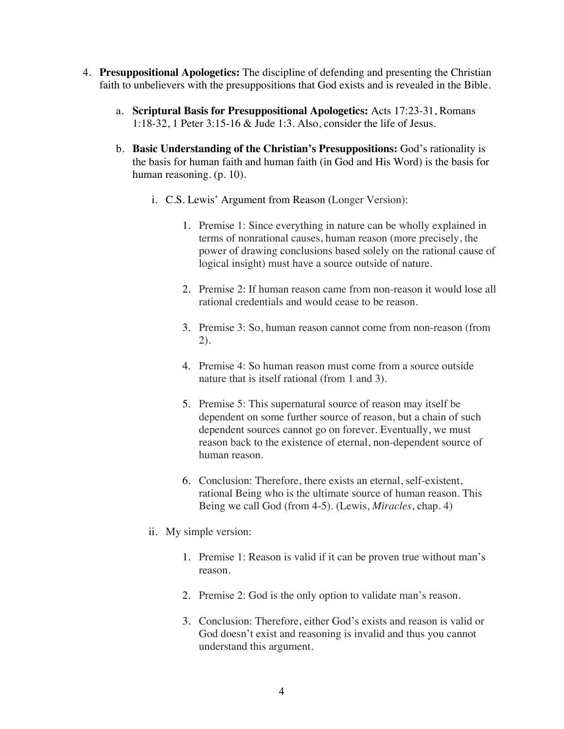- 4. **Presuppositional Apologetics:** The discipline of defending and presenting the Christian faith to unbelievers with the presuppositions that God exists and is revealed in the Bible.
	- a. **Scriptural Basis for Presuppositional Apologetics:** Acts 17:23-31, Romans 1:18-32, 1 Peter 3:15-16 & Jude 1:3. Also, consider the life of Jesus.
	- b. **Basic Understanding of the Christian's Presuppositions:** God's rationality is the basis for human faith and human faith (in God and His Word) is the basis for human reasoning. (p. 10).
		- i. C.S. Lewis' Argument from Reason (Longer Version):
			- 1. Premise 1: Since everything in nature can be wholly explained in terms of nonrational causes, human reason (more precisely, the power of drawing conclusions based solely on the rational cause of logical insight) must have a source outside of nature.
			- 2. Premise 2: If human reason came from non-reason it would lose all rational credentials and would cease to be reason.
			- 3. Premise 3: So, human reason cannot come from non-reason (from 2).
			- 4. Premise 4: So human reason must come from a source outside nature that is itself rational (from 1 and 3).
			- 5. Premise 5: This supernatural source of reason may itself be dependent on some further source of reason, but a chain of such dependent sources cannot go on forever. Eventually, we must reason back to the existence of eternal, non-dependent source of human reason.
			- 6. Conclusion: Therefore, there exists an eternal, self-existent, rational Being who is the ultimate source of human reason. This Being we call God (from 4-5). (Lewis, *Miracles*, chap. 4)
		- ii. My simple version:
			- 1. Premise 1: Reason is valid if it can be proven true without man's reason.
			- 2. Premise 2: God is the only option to validate man's reason.
			- 3. Conclusion: Therefore, either God's exists and reason is valid or God doesn't exist and reasoning is invalid and thus you cannot understand this argument.